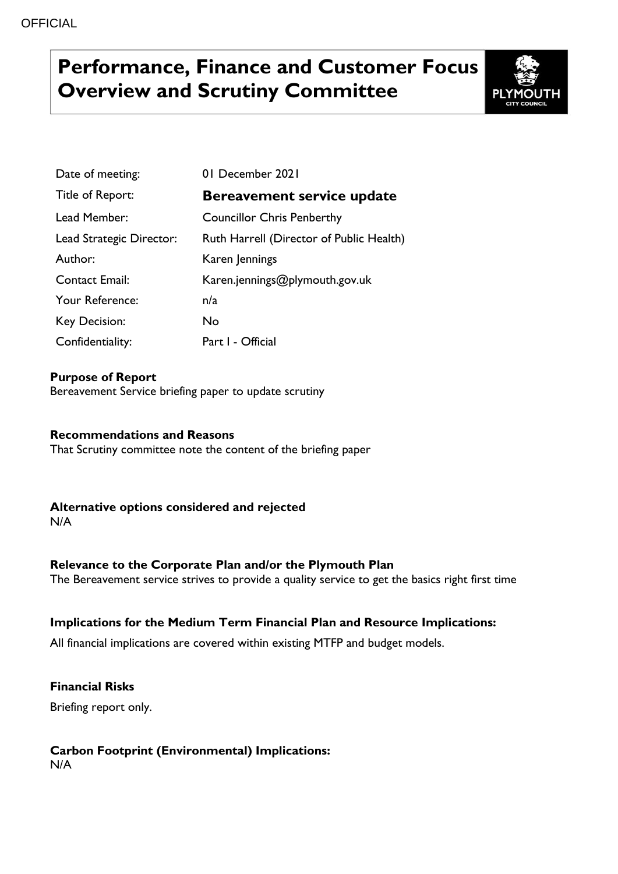# **Performance, Finance and Customer Focus Overview and Scrutiny Committee**



| Date of meeting:         | 01 December 2021                         |
|--------------------------|------------------------------------------|
| Title of Report:         | <b>Bereavement service update</b>        |
| Lead Member:             | <b>Councillor Chris Penberthy</b>        |
| Lead Strategic Director: | Ruth Harrell (Director of Public Health) |
| Author:                  | Karen Jennings                           |
| <b>Contact Email:</b>    | Karen.jennings@plymouth.gov.uk           |
| Your Reference:          | n/a                                      |
| Key Decision:            | No                                       |
| Confidentiality:         | Part I - Official                        |

# **Purpose of Report**

Bereavement Service briefing paper to update scrutiny

## **Recommendations and Reasons**

That Scrutiny committee note the content of the briefing paper

# **Alternative options considered and rejected**

N/A

## **Relevance to the Corporate Plan and/or the Plymouth Plan**

The Bereavement service strives to provide a quality service to get the basics right first time

## **Implications for the Medium Term Financial Plan and Resource Implications:**

All financial implications are covered within existing MTFP and budget models.

## **Financial Risks**

Briefing report only.

# **Carbon Footprint (Environmental) Implications:**

N/A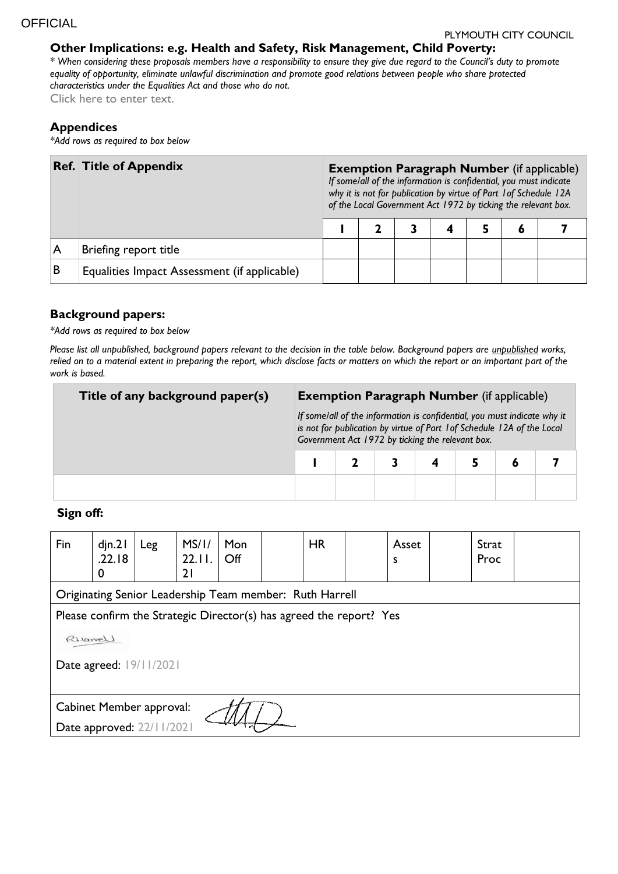# **Other Implications: e.g. Health and Safety, Risk Management, Child Poverty:**

*\* When considering these proposals members have a responsibility to ensure they give due regard to the Council's duty to promote equality of opportunity, eliminate unlawful discrimination and promote good relations between people who share protected characteristics under the Equalities Act and those who do not.*

Click here to enter text.

# **Appendices**

*\*Add rows as required to box below*

|   | <b>Ref. Title of Appendix</b>                | <b>Exemption Paragraph Number</b> (if applicable)<br>If some/all of the information is confidential, you must indicate<br>why it is not for publication by virtue of Part 1 of Schedule 12A<br>of the Local Government Act 1972 by ticking the relevant box. |  |  |  |  |  |  |  |  |
|---|----------------------------------------------|--------------------------------------------------------------------------------------------------------------------------------------------------------------------------------------------------------------------------------------------------------------|--|--|--|--|--|--|--|--|
|   |                                              |                                                                                                                                                                                                                                                              |  |  |  |  |  |  |  |  |
|   | Briefing report title                        |                                                                                                                                                                                                                                                              |  |  |  |  |  |  |  |  |
| в | Equalities Impact Assessment (if applicable) |                                                                                                                                                                                                                                                              |  |  |  |  |  |  |  |  |

# **Background papers:**

*\*Add rows as required to box below*

*Please list all unpublished, background papers relevant to the decision in the table below. Background papers are unpublished works, relied on to a material extent in preparing the report, which disclose facts or matters on which the report or an important part of the work is based.*

| Title of any background paper(s) | <b>Exemption Paragraph Number</b> (if applicable)                                                                                                                                                       |  |  |  |  |  |  |  |
|----------------------------------|---------------------------------------------------------------------------------------------------------------------------------------------------------------------------------------------------------|--|--|--|--|--|--|--|
|                                  | If some/all of the information is confidential, you must indicate why it<br>is not for publication by virtue of Part 1 of Schedule 12A of the Local<br>Government Act 1972 by ticking the relevant box. |  |  |  |  |  |  |  |
|                                  |                                                                                                                                                                                                         |  |  |  |  |  |  |  |
|                                  |                                                                                                                                                                                                         |  |  |  |  |  |  |  |

## **Sign off:**

| Fin                                                                 | $d$ jn.2 $l$<br>.22.18<br>0 | Leg | MS/1/<br>22.11.<br>21 | Mon<br>Off |  | <b>HR</b> |  | Asset<br>S |  | Strat<br>Proc |  |
|---------------------------------------------------------------------|-----------------------------|-----|-----------------------|------------|--|-----------|--|------------|--|---------------|--|
| Originating Senior Leadership Team member: Ruth Harrell             |                             |     |                       |            |  |           |  |            |  |               |  |
| Please confirm the Strategic Director(s) has agreed the report? Yes |                             |     |                       |            |  |           |  |            |  |               |  |
| RHarvel                                                             |                             |     |                       |            |  |           |  |            |  |               |  |
| Date agreed: 19/11/2021                                             |                             |     |                       |            |  |           |  |            |  |               |  |
|                                                                     |                             |     |                       |            |  |           |  |            |  |               |  |
| Cabinet Member approval:                                            |                             |     |                       |            |  |           |  |            |  |               |  |
| Date approved: 22/11/2021                                           |                             |     |                       |            |  |           |  |            |  |               |  |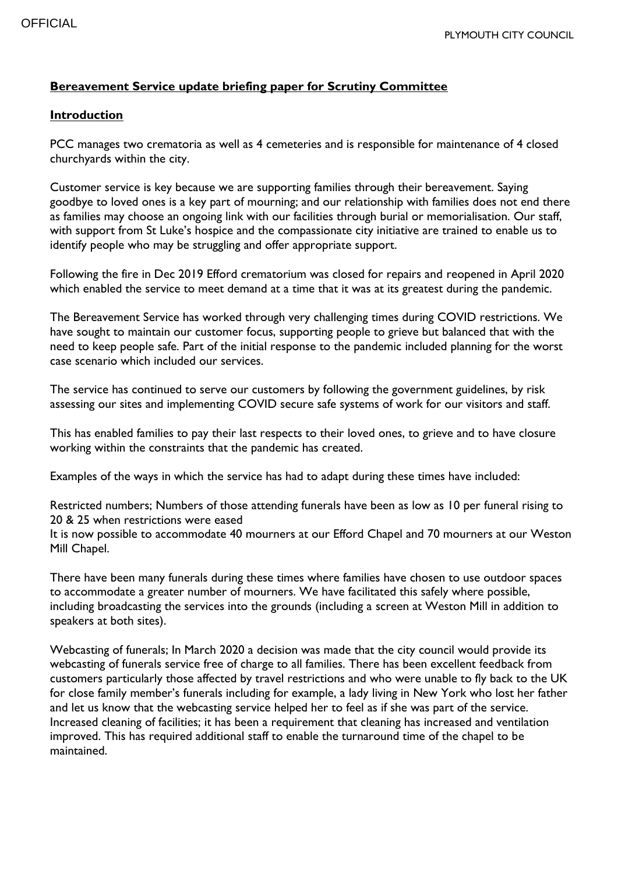#### **Bereavement Service update briefing paper for Scrutiny Committee**

#### **Introduction**

PCC manages two crematoria as well as 4 cemeteries and is responsible for maintenance of 4 closed churchyards within the city.

Customer service is key because we are supporting families through their bereavement. Saying goodbye to loved ones is a key part of mourning; and our relationship with families does not end there as families may choose an ongoing link with our facilities through burial or memorialisation. Our staff, with support from St Luke's hospice and the compassionate city initiative are trained to enable us to identify people who may be struggling and offer appropriate support.

Following the fire in Dec 2019 Efford crematorium was closed for repairs and reopened in April 2020 which enabled the service to meet demand at a time that it was at its greatest during the pandemic.

The Bereavement Service has worked through very challenging times during COVID restrictions. We have sought to maintain our customer focus, supporting people to grieve but balanced that with the need to keep people safe. Part of the initial response to the pandemic included planning for the worst case scenario which included our services.

The service has continued to serve our customers by following the government guidelines, by risk assessing our sites and implementing COVID secure safe systems of work for our visitors and staff.

This has enabled families to pay their last respects to their loved ones, to grieve and to have closure working within the constraints that the pandemic has created.

Examples of the ways in which the service has had to adapt during these times have included:

Restricted numbers; Numbers of those attending funerals have been as low as 10 per funeral rising to 20 & 25 when restrictions were eased

It is now possible to accommodate 40 mourners at our Efford Chapel and 70 mourners at our Weston Mill Chapel.

There have been many funerals during these times where families have chosen to use outdoor spaces to accommodate a greater number of mourners. We have facilitated this safely where possible, including broadcasting the services into the grounds (including a screen at Weston Mill in addition to speakers at both sites).

Webcasting of funerals; In March 2020 a decision was made that the city council would provide its webcasting of funerals service free of charge to all families. There has been excellent feedback from customers particularly those affected by travel restrictions and who were unable to fly back to the UK for close family member's funerals including for example, a lady living in New York who lost her father and let us know that the webcasting service helped her to feel as if she was part of the service. Increased cleaning of facilities; it has been a requirement that cleaning has increased and ventilation improved. This has required additional staff to enable the turnaround time of the chapel to be maintained.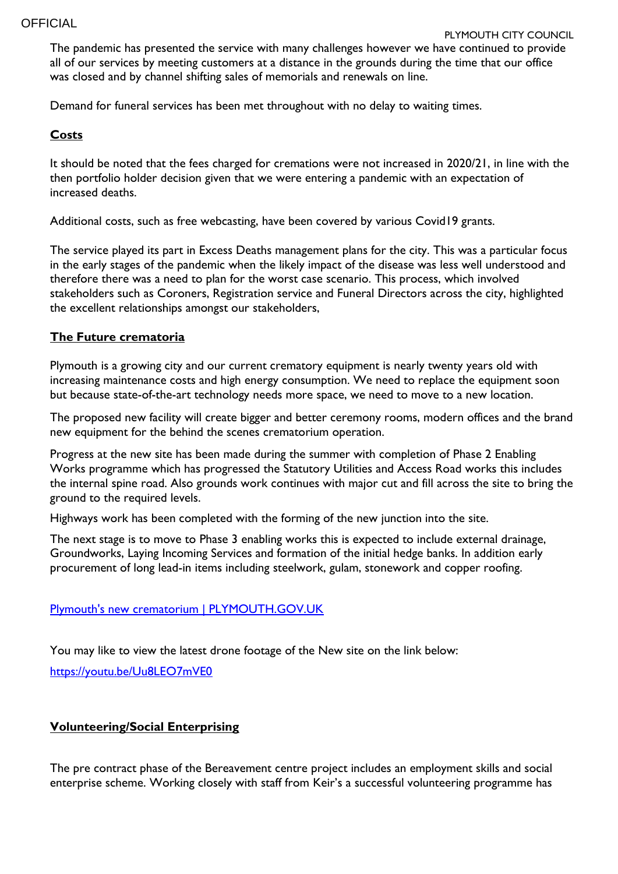The pandemic has presented the service with many challenges however we have continued to provide all of our services by meeting customers at a distance in the grounds during the time that our office was closed and by channel shifting sales of memorials and renewals on line.

Demand for funeral services has been met throughout with no delay to waiting times.

# **Costs**

It should be noted that the fees charged for cremations were not increased in 2020/21, in line with the then portfolio holder decision given that we were entering a pandemic with an expectation of increased deaths.

Additional costs, such as free webcasting, have been covered by various Covid19 grants.

The service played its part in Excess Deaths management plans for the city. This was a particular focus in the early stages of the pandemic when the likely impact of the disease was less well understood and therefore there was a need to plan for the worst case scenario. This process, which involved stakeholders such as Coroners, Registration service and Funeral Directors across the city, highlighted the excellent relationships amongst our stakeholders,

# **The Future crematoria**

Plymouth is a growing city and our current crematory equipment is nearly twenty years old with increasing maintenance costs and high energy consumption. We need to replace the equipment soon but because state-of-the-art technology needs more space, we need to move to a new location.

The proposed new facility will create bigger and better ceremony rooms, modern offices and the brand new equipment for the behind the scenes crematorium operation.

Progress at the new site has been made during the summer with completion of Phase 2 Enabling Works programme which has progressed the Statutory Utilities and Access Road works this includes the internal spine road. Also grounds work continues with major cut and fill across the site to bring the ground to the required levels.

Highways work has been completed with the forming of the new junction into the site.

The next stage is to move to Phase 3 enabling works this is expected to include external drainage, Groundworks, Laying Incoming Services and formation of the initial hedge banks. In addition early procurement of long lead-in items including steelwork, gulam, stonework and copper roofing.

## [Plymouth's new crematorium | PLYMOUTH.GOV.UK](https://www.plymouth.gov.uk/birthsmarriagesanddeaths/plymouthsnewcrematorium)

You may like to view the latest drone footage of the New site on the link below:

<https://youtu.be/Uu8LEO7mVE0>

# **Volunteering/Social Enterprising**

The pre contract phase of the Bereavement centre project includes an employment skills and social enterprise scheme. Working closely with staff from Keir's a successful volunteering programme has